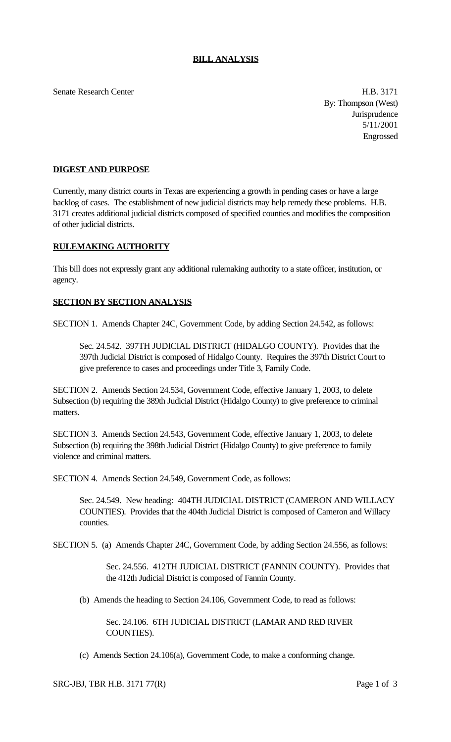Senate Research Center **H.B. 3171** 

By: Thompson (West) **Jurisprudence** 5/11/2001 Engrossed

## **DIGEST AND PURPOSE**

Currently, many district courts in Texas are experiencing a growth in pending cases or have a large backlog of cases. The establishment of new judicial districts may help remedy these problems. H.B. 3171 creates additional judicial districts composed of specified counties and modifies the composition of other judicial districts.

## **RULEMAKING AUTHORITY**

This bill does not expressly grant any additional rulemaking authority to a state officer, institution, or agency.

## **SECTION BY SECTION ANALYSIS**

SECTION 1. Amends Chapter 24C, Government Code, by adding Section 24.542, as follows:

Sec. 24.542. 397TH JUDICIAL DISTRICT (HIDALGO COUNTY). Provides that the 397th Judicial District is composed of Hidalgo County. Requires the 397th District Court to give preference to cases and proceedings under Title 3, Family Code.

SECTION 2. Amends Section 24.534, Government Code, effective January 1, 2003, to delete Subsection (b) requiring the 389th Judicial District (Hidalgo County) to give preference to criminal matters.

SECTION 3. Amends Section 24.543, Government Code, effective January 1, 2003, to delete Subsection (b) requiring the 398th Judicial District (Hidalgo County) to give preference to family violence and criminal matters.

SECTION 4. Amends Section 24.549, Government Code, as follows:

Sec. 24.549. New heading: 404TH JUDICIAL DISTRICT (CAMERON AND WILLACY COUNTIES). Provides that the 404th Judicial District is composed of Cameron and Willacy counties.

SECTION 5. (a) Amends Chapter 24C, Government Code, by adding Section 24.556, as follows:

Sec. 24.556. 412TH JUDICIAL DISTRICT (FANNIN COUNTY). Provides that the 412th Judicial District is composed of Fannin County.

(b) Amends the heading to Section 24.106, Government Code, to read as follows:

Sec. 24.106. 6TH JUDICIAL DISTRICT (LAMAR AND RED RIVER COUNTIES).

(c) Amends Section 24.106(a), Government Code, to make a conforming change.

SRC-JBJ, TBR H.B. 3171 77(R) Page 1 of 3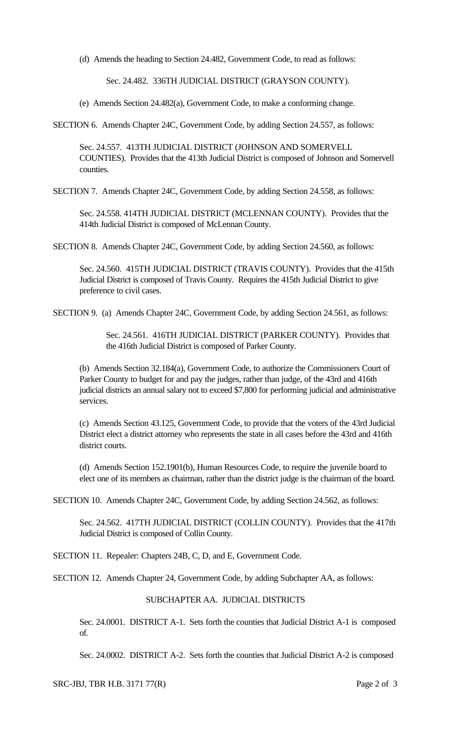(d) Amends the heading to Section 24.482, Government Code, to read as follows:

Sec. 24.482. 336TH JUDICIAL DISTRICT (GRAYSON COUNTY).

(e) Amends Section 24.482(a), Government Code, to make a conforming change.

SECTION 6. Amends Chapter 24C, Government Code, by adding Section 24.557, as follows:

Sec. 24.557. 413TH JUDICIAL DISTRICT (JOHNSON AND SOMERVELL COUNTIES). Provides that the 413th Judicial District is composed of Johnson and Somervell counties.

SECTION 7. Amends Chapter 24C, Government Code, by adding Section 24.558, as follows:

Sec. 24.558. 414TH JUDICIAL DISTRICT (MCLENNAN COUNTY). Provides that the 414th Judicial District is composed of McLennan County.

SECTION 8. Amends Chapter 24C, Government Code, by adding Section 24.560, as follows:

Sec. 24.560. 415TH JUDICIAL DISTRICT (TRAVIS COUNTY). Provides that the 415th Judicial District is composed of Travis County. Requires the 415th Judicial District to give preference to civil cases.

SECTION 9. (a) Amends Chapter 24C, Government Code, by adding Section 24.561, as follows:

Sec. 24.561. 416TH JUDICIAL DISTRICT (PARKER COUNTY). Provides that the 416th Judicial District is composed of Parker County.

(b) Amends Section 32.184(a), Government Code, to authorize the Commissioners Court of Parker County to budget for and pay the judges, rather than judge, of the 43rd and 416th judicial districts an annual salary not to exceed \$7,800 for performing judicial and administrative services.

(c) Amends Section 43.125, Government Code, to provide that the voters of the 43rd Judicial District elect a district attorney who represents the state in all cases before the 43rd and 416th district courts.

(d) Amends Section 152.1901(b), Human Resources Code, to require the juvenile board to elect one of its members as chairman, rather than the district judge is the chairman of the board.

SECTION 10. Amends Chapter 24C, Government Code, by adding Section 24.562, as follows:

Sec. 24.562. 417TH JUDICIAL DISTRICT (COLLIN COUNTY). Provides that the 417th Judicial District is composed of Collin County.

SECTION 11. Repealer: Chapters 24B, C, D, and E, Government Code.

SECTION 12. Amends Chapter 24, Government Code, by adding Subchapter AA, as follows:

## SUBCHAPTER AA. JUDICIAL DISTRICTS

Sec. 24.0001. DISTRICT A-1. Sets forth the counties that Judicial District A-1 is composed of.

Sec. 24.0002. DISTRICT A-2. Sets forth the counties that Judicial District A-2 is composed